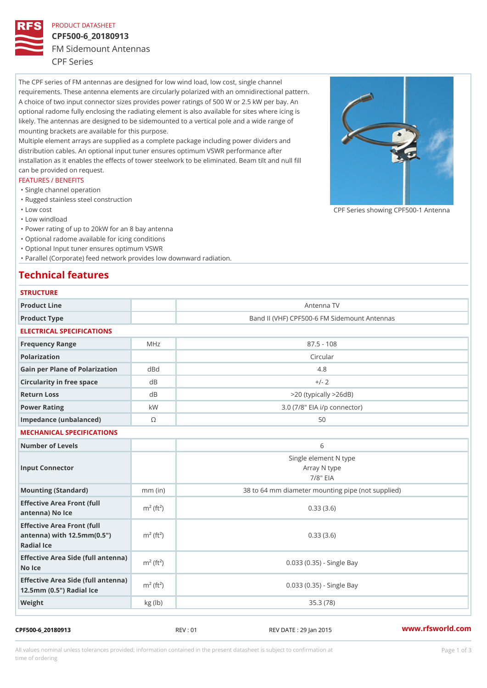### PRODUCT DATASHEET

# CPF500-6\_20180913 FM Sidemount Antennas CPF Series

The CPF series of FM antennas are designed for low wind load, low cost, single channel requirements. These antenna elements are circularly polarized with an omnidirectional pattern. A choice of two input connector sizes provides power ratings of 500 W or 2.5 kW per bay. An optional radome fully enclosing the radiating element is also available for sites where icing is likely. The antennas are designed to be sidemounted to a vertical pole and a wide range of mounting brackets are available for this purpose. Multiple element arrays are supplied as a complete package including power dividers and distribution cables. An optional input tuner ensures optimum VSWR performance after

installation as it enables the effects of tower steelwork to be eliminated. Beam tilt and null fill can be provided on request.

# FEATURES / BENEFITS

- "Single channel operation
- "Rugged stainless steel construction
- "Low cost

"Low windload

"Power rating of up to 20kW for an 8 bay antenna

- "Optional radome available for icing conditions
- "Optional Input tuner ensures optimum VSWR

"Parallel (Corporate) feed network provides low downward radiation.

# Technical features

| <b>STRUCTURE</b>                                                                                    |                         |                                                      |
|-----------------------------------------------------------------------------------------------------|-------------------------|------------------------------------------------------|
| Product Line                                                                                        |                         | Antenna TV                                           |
| Product Type                                                                                        |                         | Band II (VHF) CPF500-6 FM Sidemount Antennas         |
| ELECTRICAL SPECIFICATIONS                                                                           |                         |                                                      |
| Frequency Range                                                                                     | MHz                     | $87.5 - 108$                                         |
| Polarization                                                                                        |                         | Circular                                             |
| Gain per Plane of Polarizat doBnd                                                                   |                         | 4.8                                                  |
| Circularity in free space                                                                           | d B                     | $+/- 2$                                              |
| Return Loss                                                                                         | d B                     | $>$ 20 (typically $>$ 26dB)                          |
| Power Rating                                                                                        | k W                     | 3.0 (7/8" EIA i/p connector)                         |
| Impedance (unbalanced)                                                                              | $\circledcirc$          | 50                                                   |
| MECHANICAL SPECIFICATIONS                                                                           |                         |                                                      |
| Number of Levels                                                                                    |                         | 6                                                    |
| Input Connector                                                                                     |                         | Single element N type<br>Array N type<br>$7/8$ " EIA |
| Mounting (Standard)                                                                                 | $mm$ (in)               | 38 to 64 mm diameter mounting pipe (not supplied)    |
| Effective Area Front (full<br>antenna) No Ice                                                       | $m2$ (ft <sup>2</sup> ) | 0.33(3.6)                                            |
| Effective Area Front (full<br>antenna) with $12.5 \text{mm} (0.5 \text{ m})^2 (ft^2)$<br>Radial Ice |                         | 0.33(3.6)                                            |
| Effective Area Side (full antenna)<br>No Ice                                                        |                         | 0.033 (0.35) - Single Bay                            |
| Effective Area Side (full antenna)<br>12.5mm (0.5") Radial Ice                                      |                         | 0.033 (0.35) - Single Bay                            |
| Weight                                                                                              | kg (1b)                 | 35.3(78)                                             |

### CPF500-6\_20180913 REV : 01 REV DATE : 29 Jan 2015 [www.](https://www.rfsworld.com)rfsworld.com

CPF Series showing CPF500-1 And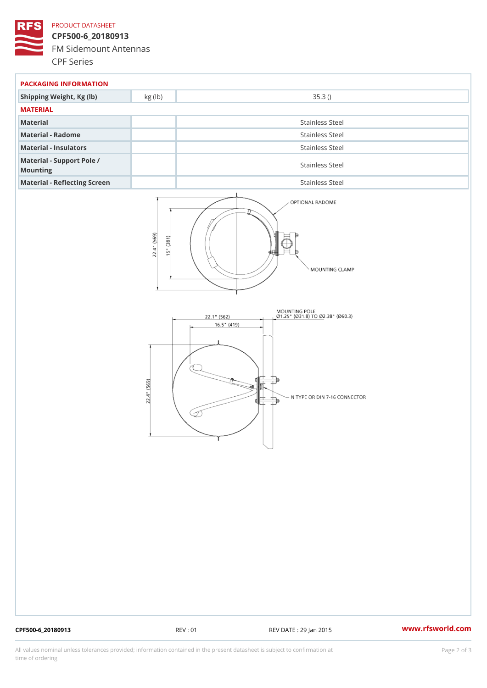# PRODUCT DATASHEET

CPF500-6\_20180913 FM Sidemount Antennas CPF Series

| PACKAGING INFORMATION                 |                 |  |  |
|---------------------------------------|-----------------|--|--|
| Shipping Weight, Kg (Ib) kg (Ib)      | 35.3()          |  |  |
| MATERIAL                              |                 |  |  |
| Material                              | Stainless Steel |  |  |
| Material - Radome                     | Stainless Steel |  |  |
| Material - Insulators                 | Stainless Steel |  |  |
| Material - Support Pole /<br>Mounting | Stainless Steel |  |  |
| Material - Reflecting Screen          | Stainless Steel |  |  |

CPF500-6\_20180913 REV : 01 REV DATE : 29 Jan 2015 [www.](https://www.rfsworld.com)rfsworld.com